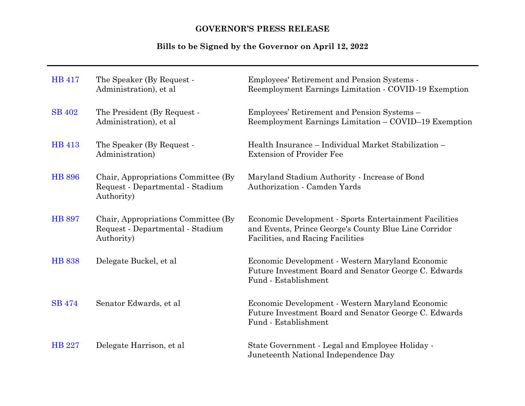# **GOVERNOR'S PRESS RELEASE**

# **Bills to be Signed by the Governor on April 12, 2022**

| <b>HB</b> 417 | The Speaker (By Request -<br>Administration), et al.                                   | Employees' Retirement and Pension Systems -<br>Reemployment Earnings Limitation - COVID-19 Exemption                                                 |
|---------------|----------------------------------------------------------------------------------------|------------------------------------------------------------------------------------------------------------------------------------------------------|
| <b>SB 402</b> | The President (By Request -<br>Administration), et al.                                 | Employees' Retirement and Pension Systems -<br>Reemployment Earnings Limitation - COVID-19 Exemption                                                 |
| <b>HB</b> 413 | The Speaker (By Request -<br>Administration)                                           | Health Insurance - Individual Market Stabilization -<br><b>Extension of Provider Fee</b>                                                             |
| <b>HB 896</b> | Chair, Appropriations Committee (By)<br>Request - Departmental - Stadium<br>Authority) | Maryland Stadium Authority - Increase of Bond<br>Authorization - Camden Yards                                                                        |
| <b>HB 897</b> | Chair, Appropriations Committee (By)<br>Request - Departmental - Stadium<br>Authority) | Economic Development - Sports Entertainment Facilities<br>and Events, Prince George's County Blue Line Corridor<br>Facilities, and Racing Facilities |
| <b>HB 838</b> | Delegate Buckel, et al.                                                                | Economic Development - Western Maryland Economic<br>Future Investment Board and Senator George C. Edwards<br>Fund - Establishment                    |
| <b>SB</b> 474 | Senator Edwards, et al                                                                 | Economic Development - Western Maryland Economic<br>Future Investment Board and Senator George C. Edwards<br>Fund - Establishment                    |
| <b>HB</b> 227 | Delegate Harrison, et al.                                                              | State Government - Legal and Employee Holiday -<br>Juneteenth National Independence Day                                                              |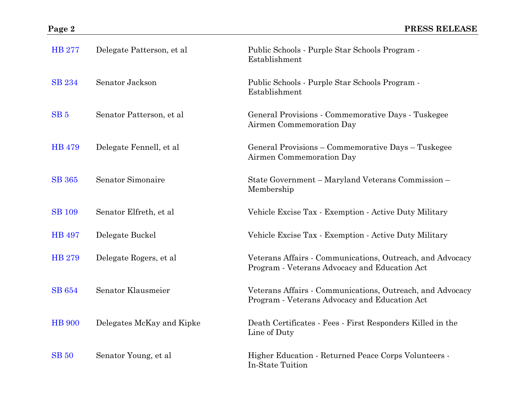| <b>HB 277</b>   | Delegate Patterson, et al. | Public Schools - Purple Star Schools Program -<br>Establishment                                            |
|-----------------|----------------------------|------------------------------------------------------------------------------------------------------------|
| <b>SB 234</b>   | Senator Jackson            | Public Schools - Purple Star Schools Program -<br>Establishment                                            |
| SB <sub>5</sub> | Senator Patterson, et al   | General Provisions - Commemorative Days - Tuskegee<br>Airmen Commemoration Day                             |
| <b>HB</b> 479   | Delegate Fennell, et al    | General Provisions - Commemorative Days - Tuskegee<br>Airmen Commemoration Day                             |
| <b>SB</b> 365   | Senator Simonaire          | State Government - Maryland Veterans Commission -<br>Membership                                            |
| <b>SB</b> 109   | Senator Elfreth, et al     | Vehicle Excise Tax - Exemption - Active Duty Military                                                      |
| <b>HB</b> 497   | Delegate Buckel            | Vehicle Excise Tax - Exemption - Active Duty Military                                                      |
| <b>HB 279</b>   | Delegate Rogers, et al.    | Veterans Affairs - Communications, Outreach, and Advocacy<br>Program - Veterans Advocacy and Education Act |
| <b>SB</b> 654   | Senator Klausmeier         | Veterans Affairs - Communications, Outreach, and Advocacy<br>Program - Veterans Advocacy and Education Act |
| <b>HB</b> 900   | Delegates McKay and Kipke  | Death Certificates - Fees - First Responders Killed in the<br>Line of Duty                                 |
| <b>SB</b> 50    | Senator Young, et al       | Higher Education - Returned Peace Corps Volunteers -<br>In-State Tuition                                   |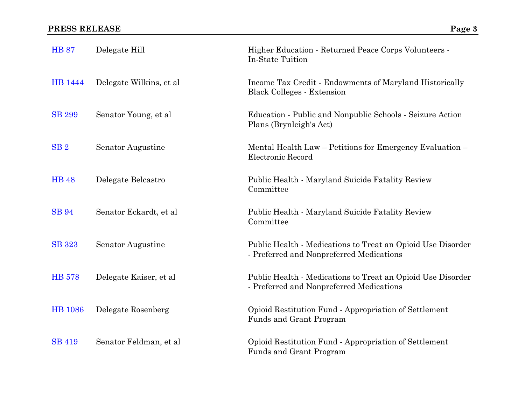| <b>HB 87</b>    | Delegate Hill            | Higher Education - Returned Peace Corps Volunteers -<br>In-State Tuition                                |
|-----------------|--------------------------|---------------------------------------------------------------------------------------------------------|
| HB 1444         | Delegate Wilkins, et al. | Income Tax Credit - Endowments of Maryland Historically<br><b>Black Colleges - Extension</b>            |
| <b>SB 299</b>   | Senator Young, et al.    | Education - Public and Nonpublic Schools - Seizure Action<br>Plans (Brynleigh's Act)                    |
| SB <sub>2</sub> | Senator Augustine        | Mental Health Law – Petitions for Emergency Evaluation –<br>Electronic Record                           |
| <b>HB</b> 48    | Delegate Belcastro       | Public Health - Maryland Suicide Fatality Review<br>Committee                                           |
| <b>SB</b> 94    | Senator Eckardt, et al   | Public Health - Maryland Suicide Fatality Review<br>Committee                                           |
| <b>SB</b> 323   | Senator Augustine        | Public Health - Medications to Treat an Opioid Use Disorder<br>- Preferred and Nonpreferred Medications |
| <b>HB</b> 578   | Delegate Kaiser, et al   | Public Health - Medications to Treat an Opioid Use Disorder<br>- Preferred and Nonpreferred Medications |
| <b>HB</b> 1086  | Delegate Rosenberg       | Opioid Restitution Fund - Appropriation of Settlement<br>Funds and Grant Program                        |
| <b>SB 419</b>   | Senator Feldman, et al   | Opioid Restitution Fund - Appropriation of Settlement<br>Funds and Grant Program                        |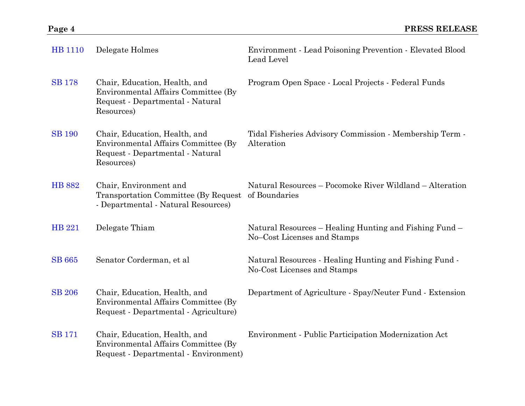| <b>HB</b> 1110 | Delegate Holmes                                                                                                        | Environment - Lead Poisoning Prevention - Elevated Blood<br>Lead Level                |
|----------------|------------------------------------------------------------------------------------------------------------------------|---------------------------------------------------------------------------------------|
| <b>SB</b> 178  | Chair, Education, Health, and<br>Environmental Affairs Committee (By<br>Request - Departmental - Natural<br>Resources) | Program Open Space - Local Projects - Federal Funds                                   |
| <b>SB</b> 190  | Chair, Education, Health, and<br>Environmental Affairs Committee (By<br>Request - Departmental - Natural<br>Resources) | Tidal Fisheries Advisory Commission - Membership Term -<br>Alteration                 |
| <b>HB 882</b>  | Chair, Environment and<br>Transportation Committee (By Request of Boundaries<br>- Departmental - Natural Resources)    | Natural Resources – Pocomoke River Wildland – Alteration                              |
| <b>HB 221</b>  | Delegate Thiam                                                                                                         | Natural Resources – Healing Hunting and Fishing Fund –<br>No-Cost Licenses and Stamps |
| <b>SB</b> 665  | Senator Corderman, et al                                                                                               | Natural Resources - Healing Hunting and Fishing Fund -<br>No-Cost Licenses and Stamps |
| <b>SB 206</b>  | Chair, Education, Health, and<br>Environmental Affairs Committee (By<br>Request - Departmental - Agriculture)          | Department of Agriculture - Spay/Neuter Fund - Extension                              |
| <b>SB</b> 171  | Chair, Education, Health, and<br>Environmental Affairs Committee (By<br>Request - Departmental - Environment)          | Environment - Public Participation Modernization Act                                  |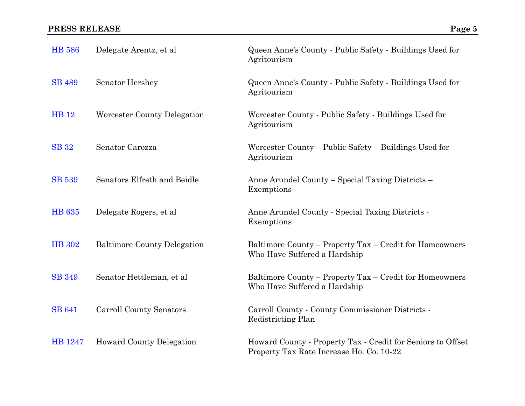| <b>HB</b> 586 | Delegate Arentz, et al.            | Queen Anne's County - Public Safety - Buildings Used for<br>Agritourism                                 |
|---------------|------------------------------------|---------------------------------------------------------------------------------------------------------|
| <b>SB</b> 489 | <b>Senator Hershey</b>             | Queen Anne's County - Public Safety - Buildings Used for<br>Agritourism                                 |
| <b>HB</b> 12  | Worcester County Delegation        | Worcester County - Public Safety - Buildings Used for<br>Agritourism                                    |
| <b>SB</b> 32  | Senator Carozza                    | Worcester County – Public Safety – Buildings Used for<br>Agritourism                                    |
| <b>SB 539</b> | Senators Elfreth and Beidle        | Anne Arundel County – Special Taxing Districts –<br>Exemptions                                          |
| <b>HB</b> 635 | Delegate Rogers, et al.            | Anne Arundel County - Special Taxing Districts -<br>Exemptions                                          |
| <b>HB</b> 302 | <b>Baltimore County Delegation</b> | Baltimore County – Property Tax – Credit for Homeowners<br>Who Have Suffered a Hardship                 |
| <b>SB</b> 349 | Senator Hettleman, et al           | Baltimore County - Property Tax - Credit for Homeowners<br>Who Have Suffered a Hardship                 |
| <b>SB 641</b> | Carroll County Senators            | Carroll County - County Commissioner Districts -<br>Redistricting Plan                                  |
| HB 1247       | <b>Howard County Delegation</b>    | Howard County - Property Tax - Credit for Seniors to Offset<br>Property Tax Rate Increase Ho. Co. 10-22 |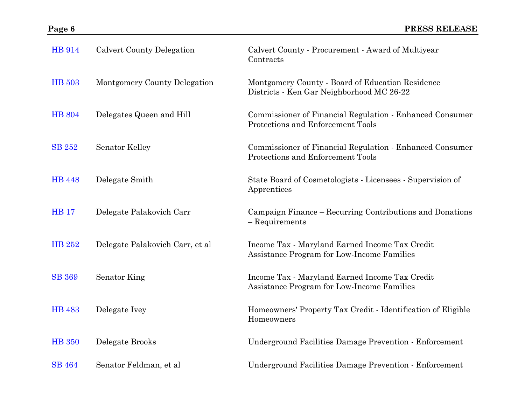| <b>HB</b> 914 | <b>Calvert County Delegation</b> | Calvert County - Procurement - Award of Multiyear<br>Contracts                                |
|---------------|----------------------------------|-----------------------------------------------------------------------------------------------|
| <b>HB</b> 503 | Montgomery County Delegation     | Montgomery County - Board of Education Residence<br>Districts - Ken Gar Neighborhood MC 26-22 |
| <b>HB</b> 804 | Delegates Queen and Hill         | Commissioner of Financial Regulation - Enhanced Consumer<br>Protections and Enforcement Tools |
| <b>SB 252</b> | <b>Senator Kelley</b>            | Commissioner of Financial Regulation - Enhanced Consumer<br>Protections and Enforcement Tools |
| <b>HB</b> 448 | Delegate Smith                   | State Board of Cosmetologists - Licensees - Supervision of<br>Apprentices                     |
| <b>HB</b> 17  | Delegate Palakovich Carr         | Campaign Finance – Recurring Contributions and Donations<br>- Requirements                    |
| <b>HB 252</b> | Delegate Palakovich Carr, et al  | Income Tax - Maryland Earned Income Tax Credit<br>Assistance Program for Low-Income Families  |
| <b>SB 369</b> | Senator King                     | Income Tax - Maryland Earned Income Tax Credit<br>Assistance Program for Low-Income Families  |
| <b>HB</b> 483 | Delegate Ivey                    | Homeowners' Property Tax Credit - Identification of Eligible<br>Homeowners                    |
| <b>HB</b> 350 | Delegate Brooks                  | Underground Facilities Damage Prevention - Enforcement                                        |
| <b>SB</b> 464 | Senator Feldman, et al           | Underground Facilities Damage Prevention - Enforcement                                        |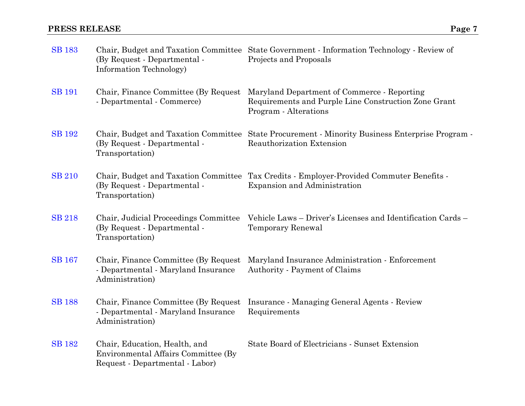| <b>SB</b> 183 | (By Request - Departmental -<br>Information Technology)                                                 | Chair, Budget and Taxation Committee State Government - Information Technology - Review of<br>Projects and Proposals         |
|---------------|---------------------------------------------------------------------------------------------------------|------------------------------------------------------------------------------------------------------------------------------|
| <b>SB 191</b> | Chair, Finance Committee (By Request)<br>- Departmental - Commerce)                                     | Maryland Department of Commerce - Reporting<br>Requirements and Purple Line Construction Zone Grant<br>Program - Alterations |
| <b>SB</b> 192 | (By Request - Departmental -<br>Transportation)                                                         | Chair, Budget and Taxation Committee State Procurement - Minority Business Enterprise Program -<br>Reauthorization Extension |
| <b>SB 210</b> | (By Request - Departmental -<br>Transportation)                                                         | Chair, Budget and Taxation Committee Tax Credits - Employer-Provided Commuter Benefits -<br>Expansion and Administration     |
| <b>SB</b> 218 | Chair, Judicial Proceedings Committee<br>(By Request - Departmental -<br>Transportation)                | Vehicle Laws - Driver's Licenses and Identification Cards -<br><b>Temporary Renewal</b>                                      |
| <b>SB</b> 167 | Chair, Finance Committee (By Request)<br>- Departmental - Maryland Insurance<br>Administration)         | Maryland Insurance Administration - Enforcement<br>Authority - Payment of Claims                                             |
| <b>SB</b> 188 | Chair, Finance Committee (By Request)<br>- Departmental - Maryland Insurance<br>Administration)         | Insurance - Managing General Agents - Review<br>Requirements                                                                 |
| <b>SB</b> 182 | Chair, Education, Health, and<br>Environmental Affairs Committee (By<br>Request - Departmental - Labor) | State Board of Electricians - Sunset Extension                                                                               |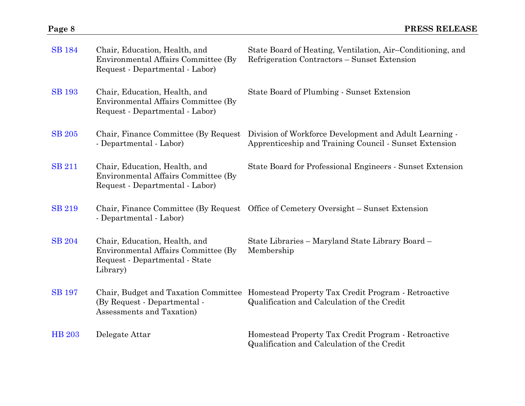| <b>SB</b> 184 | Chair, Education, Health, and<br>Environmental Affairs Committee (By)<br>Request - Departmental - Labor)           | State Board of Heating, Ventilation, Air–Conditioning, and<br>Refrigeration Contractors – Sunset Extension                              |
|---------------|--------------------------------------------------------------------------------------------------------------------|-----------------------------------------------------------------------------------------------------------------------------------------|
| <b>SB</b> 193 | Chair, Education, Health, and<br>Environmental Affairs Committee (By)<br>Request - Departmental - Labor)           | State Board of Plumbing - Sunset Extension                                                                                              |
| <b>SB</b> 205 | Chair, Finance Committee (By Request)<br>- Departmental - Labor)                                                   | Division of Workforce Development and Adult Learning -<br>Apprenticeship and Training Council - Sunset Extension                        |
| <b>SB 211</b> | Chair, Education, Health, and<br>Environmental Affairs Committee (By)<br>Request - Departmental - Labor)           | State Board for Professional Engineers - Sunset Extension                                                                               |
| <b>SB 219</b> | - Departmental - Labor)                                                                                            | Chair, Finance Committee (By Request Office of Cemetery Oversight – Sunset Extension                                                    |
| <b>SB</b> 204 | Chair, Education, Health, and<br>Environmental Affairs Committee (By<br>Request - Departmental - State<br>Library) | State Libraries – Maryland State Library Board –<br>Membership                                                                          |
| <b>SB</b> 197 | (By Request - Departmental -<br>Assessments and Taxation)                                                          | Chair, Budget and Taxation Committee Homestead Property Tax Credit Program - Retroactive<br>Qualification and Calculation of the Credit |
| <b>HB 203</b> | Delegate Attar                                                                                                     | Homestead Property Tax Credit Program - Retroactive<br>Qualification and Calculation of the Credit                                      |